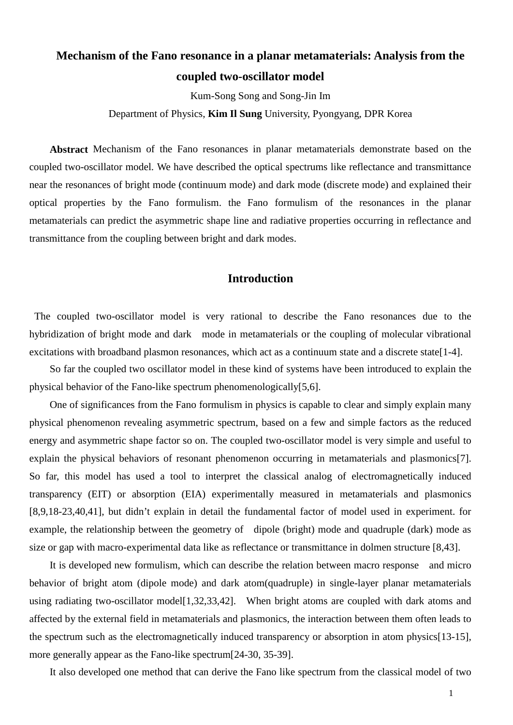# **Mechanism of the Fano resonance in a planar metamaterials: Analysis from the coupled two-oscillator model**

Kum-Song Song and Song-Jin Im

Department of Physics, **Kim Il Sung** University, Pyongyang, DPR Korea

**Abstract** Mechanism of the Fano resonances in planar metamaterials demonstrate based on the coupled two-oscillator model. We have described the optical spectrums like reflectance and transmittance near the resonances of bright mode (continuum mode) and dark mode (discrete mode) and explained their optical properties by the Fano formulism. the Fano formulism of the resonances in the planar metamaterials can predict the asymmetric shape line and radiative properties occurring in reflectance and transmittance from the coupling between bright and dark modes.

### **Introduction**

The coupled two-oscillator model is very rational to describe the Fano resonances due to the hybridization of bright mode and dark mode in metamaterials or the coupling of molecular vibrational excitations with broadband plasmon resonances, which act as a continuum state and a discrete state<sup>[1-4]</sup>.

So far the coupled two oscillator model in these kind of systems have been introduced to explain the physical behavior of the Fano-like spectrum phenomenologically[5,6].

One of significances from the Fano formulism in physics is capable to clear and simply explain many physical phenomenon revealing asymmetric spectrum, based on a few and simple factors as the reduced energy and asymmetric shape factor so on. The coupled two-oscillator model is very simple and useful to explain the physical behaviors of resonant phenomenon occurring in metamaterials and plasmonics<sup>[7]</sup>. So far, this model has used a tool to interpret the classical analog of electromagnetically induced transparency (EIT) or absorption (EIA) experimentally measured in metamaterials and plasmonics [8,9,18-23,40,41], but didn't explain in detail the fundamental factor of model used in experiment. for example, the relationship between the geometry of dipole (bright) mode and quadruple (dark) mode as size or gap with macro-experimental data like as reflectance or transmittance in dolmen structure [8,43].

It is developed new formulism, which can describe the relation between macro response and micro behavior of bright atom (dipole mode) and dark atom(quadruple) in single-layer planar metamaterials using radiating two-oscillator model<sup>[1,32,33,42]</sup>. When bright atoms are coupled with dark atoms and affected by the external field in metamaterials and plasmonics, the interaction between them often leads to the spectrum such as the electromagnetically induced transparency or absorption in atom physics[13-15], more generally appear as the Fano-like spectrum[24-30, 35-39].

It also developed one method that can derive the Fano like spectrum from the classical model of two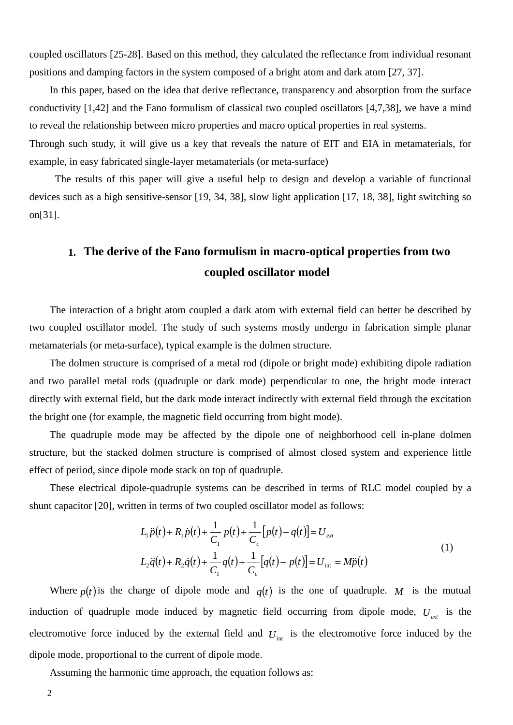coupled oscillators [25-28]. Based on this method, they calculated the reflectance from individual resonant positions and damping factors in the system composed of a bright atom and dark atom [27, 37].

In this paper, based on the idea that derive reflectance, transparency and absorption from the surface conductivity [1,42] and the Fano formulism of classical two coupled oscillators [4,7,38], we have a mind to reveal the relationship between micro properties and macro optical properties in real systems. Through such study, it will give us a key that reveals the nature of EIT and EIA in metamaterials, for

example, in easy fabricated single-layer metamaterials (or meta-surface) The results of this paper will give a useful help to design and develop a variable of functional

devices such as a high sensitive-sensor [19, 34, 38], slow light application [17, 18, 38], light switching so on[31].

## **1. The derive of the Fano formulism in macro-optical properties from two coupled oscillator model**

The interaction of a bright atom coupled a dark atom with external field can better be described by two coupled oscillator model. The study of such systems mostly undergo in fabrication simple planar metamaterials (or meta-surface), typical example is the dolmen structure.

The dolmen structure is comprised of a metal rod (dipole or bright mode) exhibiting dipole radiation and two parallel metal rods (quadruple or dark mode) perpendicular to one, the bright mode interact directly with external field, but the dark mode interact indirectly with external field through the excitation the bright one (for example, the magnetic field occurring from bight mode).

The quadruple mode may be affected by the dipole one of neighborhood cell in-plane dolmen structure, but the stacked dolmen structure is comprised of almost closed system and experience little effect of period, since dipole mode stack on top of quadruple.

These electrical dipole-quadruple systems can be described in terms of RLC model coupled by a shunt capacitor [20], written in terms of two coupled oscillator model as follows:

$$
L_1 \ddot{p}(t) + R_1 \dot{p}(t) + \frac{1}{C_1} p(t) + \frac{1}{C_c} [p(t) - q(t)] = U_{ext}
$$
  
\n
$$
L_2 \ddot{q}(t) + R_2 \dot{q}(t) + \frac{1}{C_1} q(t) + \frac{1}{C_c} [q(t) - p(t)] = U_{int} = M\ddot{p}(t)
$$
\n(1)

Where  $p(t)$  is the charge of dipole mode and  $q(t)$  is the one of quadruple. *M* is the mutual induction of quadruple mode induced by magnetic field occurring from dipole mode,  $U_{\text{ext}}$  is the electromotive force induced by the external field and  $U_{int}$  is the electromotive force induced by the dipole mode, proportional to the current of dipole mode.

Assuming the harmonic time approach, the equation follows as:

2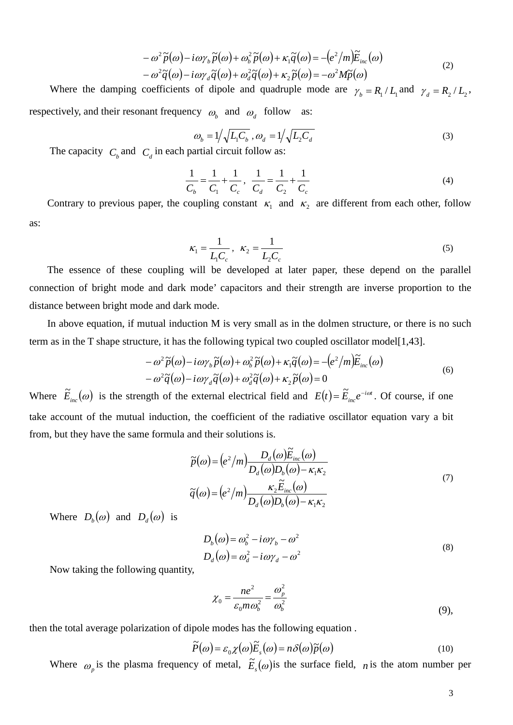$$
- \omega^2 \widetilde{p}(\omega) - i \omega \gamma_b \widetilde{p}(\omega) + \omega_b^2 \widetilde{p}(\omega) + \kappa_1 \widetilde{q}(\omega) = - (e^2/m) \widetilde{E}_{inc}(\omega) - \omega^2 \widetilde{q}(\omega) - i \omega \gamma_d \widetilde{q}(\omega) + \omega_d^2 \widetilde{q}(\omega) + \kappa_2 \widetilde{p}(\omega) = - \omega^2 M \widetilde{p}(\omega)
$$
\n(2)

Where the damping coefficients of dipole and quadruple mode are  $\gamma_b = R_1 / L_1$  and  $\gamma_d = R_2 / L_2$ , respectively, and their resonant frequency  $\omega_b$  and  $\omega_d$  follow as:

$$
\omega_b = 1 / \sqrt{L_1 C_b}, \omega_d = 1 / \sqrt{L_2 C_d}
$$
\n<sup>(3)</sup>

The capacity  $C_b$  and  $C_d$  in each partial circuit follow as:

$$
\frac{1}{C_b} = \frac{1}{C_1} + \frac{1}{C_c}, \quad \frac{1}{C_d} = \frac{1}{C_2} + \frac{1}{C_c}
$$
(4)

Contrary to previous paper, the coupling constant  $\kappa_1$  and  $\kappa_2$  are different from each other, follow as:

$$
\kappa_1 = \frac{1}{L_1 C_c}, \ \ \kappa_2 = \frac{1}{L_2 C_c} \tag{5}
$$

The essence of these coupling will be developed at later paper, these depend on the parallel connection of bright mode and dark mode' capacitors and their strength are inverse proportion to the distance between bright mode and dark mode.

In above equation, if mutual induction M is very small as in the dolmen structure, or there is no such term as in the T shape structure, it has the following typical two coupled oscillator model[1,43].

$$
-\omega^2 \tilde{p}(\omega) - i\omega \gamma_b \tilde{p}(\omega) + \omega_b^2 \tilde{p}(\omega) + \kappa_1 \tilde{q}(\omega) = -(e^2/m)\tilde{E}_{inc}(\omega) -\omega^2 \tilde{q}(\omega) - i\omega \gamma_d \tilde{q}(\omega) + \omega_d^2 \tilde{q}(\omega) + \kappa_2 \tilde{p}(\omega) = 0
$$
\n(6)

Where  $\tilde{E}_{inc}(\omega)$  is the strength of the external electrical field and  $E(t) = \tilde{E}_{inc}e^{-i\omega t}$ . Of course, if one take account of the mutual induction, the coefficient of the radiative oscillator equation vary a bit from, but they have the same formula and their solutions is.

$$
\widetilde{p}(\omega) = (e^2/m) \frac{D_d(\omega)\widetilde{E}_{inc}(\omega)}{D_d(\omega)D_b(\omega) - \kappa_1 \kappa_2}
$$
\n
$$
\widetilde{q}(\omega) = (e^2/m) \frac{\kappa_2 \widetilde{E}_{inc}(\omega)}{D_d(\omega)D_b(\omega) - \kappa_1 \kappa_2}
$$
\n(7)

Where  $D_b(\omega)$  and  $D_d(\omega)$  is

$$
D_b(\omega) = \omega_b^2 - i\omega\gamma_b - \omega^2
$$
  
\n
$$
D_d(\omega) = \omega_d^2 - i\omega\gamma_d - \omega^2
$$
\n(8)

Now taking the following quantity,

$$
\chi_0 = \frac{ne^2}{\varepsilon_0 m \omega_b^2} = \frac{\omega_p^2}{\omega_b^2}
$$
\n(9),

then the total average polarization of dipole modes has the following equation .

$$
\widetilde{P}(\omega) = \varepsilon_0 \chi(\omega) \widetilde{E}_s(\omega) = n \delta(\omega) \widetilde{p}(\omega)
$$
\n(10)

Where  $\omega_p$  is the plasma frequency of metal,  $\tilde{E}_s(\omega)$  is the surface field, *n* is the atom number per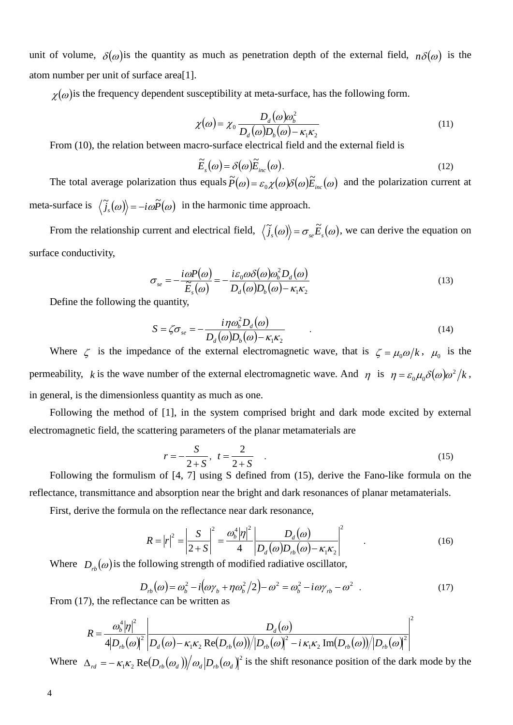unit of volume,  $\delta(\omega)$  is the quantity as much as penetration depth of the external field,  $n\delta(\omega)$  is the atom number per unit of surface area[1].

 $\chi(\omega)$  is the frequency dependent susceptibility at meta-surface, has the following form.

$$
\chi(\omega) = \chi_0 \frac{D_d(\omega)\omega_b^2}{D_d(\omega)D_b(\omega) - \kappa_1 \kappa_2}
$$
\n(11)

From (10), the relation between macro-surface electrical field and the external field is

$$
\widetilde{E}_s(\omega) = \delta(\omega)\widetilde{E}_{inc}(\omega). \tag{12}
$$

The total average polarization thus equals  $\tilde{P}(\omega) = \varepsilon_0 \chi(\omega) \delta(\omega) \tilde{E}_{inc}(\omega)$  and the polarization current at meta-surface is  $\langle \tilde{j}_s(\omega) \rangle = -i\omega \tilde{P}(\omega)$  in the harmonic time approach.

From the relationship current and electrical field,  $\langle \tilde{j}_s(\omega) \rangle = \sigma_{se} \tilde{E}_s(\omega)$ , we can derive the equation on surface conductivity,

$$
\sigma_{se} = -\frac{i\omega P(\omega)}{\widetilde{E}_s(\omega)} = -\frac{i\varepsilon_0 \omega \delta(\omega)\omega_b^2 D_d(\omega)}{D_d(\omega)D_b(\omega) - \kappa_1 \kappa_2}
$$
(13)

Define the following the quantity,

$$
S = \zeta \sigma_{se} = -\frac{i\eta \omega_b^2 D_d(\omega)}{D_d(\omega)D_b(\omega) - \kappa_1 \kappa_2} \tag{14}
$$

Where  $\zeta$  is the impedance of the external electromagnetic wave, that is  $\zeta = \mu_0 \omega / k$ ,  $\mu_0$  is the permeability, *k* is the wave number of the external electromagnetic wave. And  $\eta$  is  $\eta = \varepsilon_0 \mu_0 \delta(\omega) \omega^2 / k$ , in general, is the dimensionless quantity as much as one.

Following the method of [1], in the system comprised bright and dark mode excited by external electromagnetic field, the scattering parameters of the planar metamaterials are

$$
r = -\frac{S}{2+S}, \ t = \frac{2}{2+S} \quad . \tag{15}
$$

Following the formulism of [4, 7] using S defined from (15), derive the Fano-like formula on the reflectance, transmittance and absorption near the bright and dark resonances of planar metamaterials.

First, derive the formula on the reflectance near dark resonance,

$$
R = |r|^2 = \left| \frac{S}{2+S} \right|^2 = \frac{\omega_b^4 |\eta|^2}{4} \left| \frac{D_d(\omega)}{D_d(\omega) D_{rb}(\omega) - \kappa_1 \kappa_2} \right|^2 \tag{16}
$$

Where  $D_{ab}(\omega)$  is the following strength of modified radiative oscillator,

$$
D_{rb}(\omega) = \omega_b^2 - i(\omega \gamma_b + \eta \omega_b^2/2) - \omega^2 = \omega_b^2 - i\omega \gamma_{rb} - \omega^2
$$
 (17)

From  $(17)$ , the reflectance can be written as

$$
R = \frac{\omega_b^4 |\eta|^2}{4|D_{rb}(\omega)|^2} \left| \frac{D_d(\omega)}{D_d(\omega) - \kappa_1 \kappa_2 \text{Re}(D_{rb}(\omega))/|D_{rb}(\omega)|^2 - i \kappa_1 \kappa_2 \text{Im}(D_{rb}(\omega))/|D_{rb}(\omega)|^2} \right|^2
$$

Where  $\Delta_{rd} = -\kappa_1 \kappa_2 \text{Re}(D_{rb}(\omega_d))/\omega_d |D_{rb}(\omega_d)|^2$  is the shift resonance position of the dark mode by the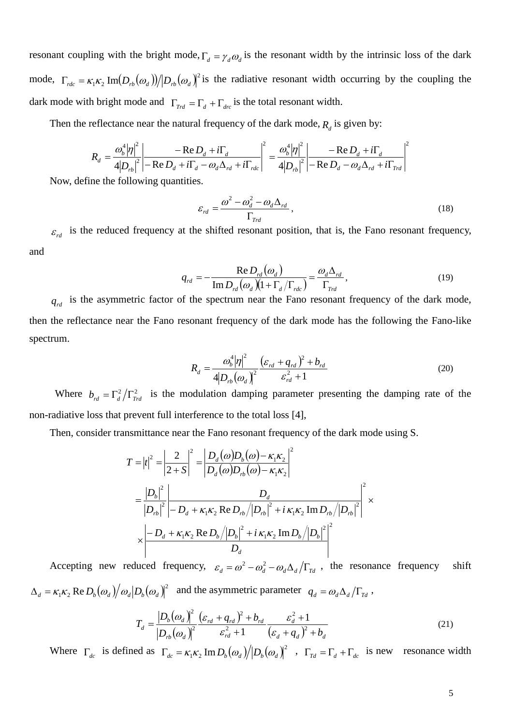resonant coupling with the bright mode,  $\Gamma_d = \gamma_d \omega_d$  is the resonant width by the intrinsic loss of the dark mode,  $\Gamma_{rdc} = \kappa_1 \kappa_2 \text{Im}(D_{rb}(\omega_d))/|D_{rb}(\omega_d)|^2$  is the radiative resonant width occurring by the coupling the dark mode with bright mode and  $\Gamma_{\text{Trd}} = \Gamma_d + \Gamma_{\text{dec}}$  is the total resonant width.

Then the reflectance near the natural frequency of the dark mode,  $R_d$  is given by:

$$
R_d = \frac{\omega_b^4 |\eta|^2}{4 |D_{rb}|^2} \left| \frac{-\text{Re } D_d + i\Gamma_d}{-\text{Re } D_d + i\Gamma_d - \omega_d \Delta_{rd} + i\Gamma_{rdc}} \right|^2 = \frac{\omega_b^4 |\eta|^2}{4 |D_{rb}|^2} \left| \frac{-\text{Re } D_d + i\Gamma_d}{-\text{Re } D_d - \omega_d \Delta_{rd} + i\Gamma_{rrd}} \right|^2
$$

Now, define the following quantities.

$$
\varepsilon_{rd} = \frac{\omega^2 - \omega_d^2 - \omega_d \Delta_{rd}}{\Gamma_{\text{Trd}}},\tag{18}
$$

 $\epsilon_{rd}$  is the reduced frequency at the shifted resonant position, that is, the Fano resonant frequency, and

$$
q_{rd} = -\frac{\text{Re}\,D_{rd}(\omega_d)}{\text{Im}\,D_{rd}(\omega_d)(1 + \Gamma_d/\Gamma_{rdc})} = \frac{\omega_d \Delta_{rd}}{\Gamma_{rd}},\tag{19}
$$

 $q_{rd}$  is the asymmetric factor of the spectrum near the Fano resonant frequency of the dark mode, then the reflectance near the Fano resonant frequency of the dark mode has the following the Fano-like spectrum.

$$
R_d = \frac{\omega_b^4 |\eta|^2}{4|D_{rb}(\omega_d)|^2} \frac{(\varepsilon_{rd} + q_{rd})^2 + b_{rd}}{\varepsilon_{rd}^2 + 1}
$$
(20)

Where  $b_{rd} = \Gamma_d^2 / \Gamma_{rd}^2$  is the modulation damping parameter presenting the damping rate of the non-radiative loss that prevent full interference to the total loss [4],

Then, consider transmittance near the Fano resonant frequency of the dark mode using S.

$$
T = |t|^2 = \left| \frac{2}{2+S} \right|^2 = \left| \frac{D_d(\omega)D_b(\omega) - \kappa_1 \kappa_2}{D_d(\omega)D_{rb}(\omega) - \kappa_1 \kappa_2} \right|^2
$$
  
=  $\frac{|D_b|^2}{|D_{rb}|^2} \left| \frac{D_d}{-D_d + \kappa_1 \kappa_2 \text{ Re } D_{rb} / |D_{rb}|^2 + i \kappa_1 \kappa_2 \text{ Im } D_{rb} / |D_{rb}|^2} \right|^2 \times$   
 $\times \left| \frac{-D_d + \kappa_1 \kappa_2 \text{ Re } D_b / |D_b|^2 + i \kappa_1 \kappa_2 \text{ Im } D_b / |D_b|^2}{D_d} \right|^2$ 

Accepting new reduced frequency,  $\varepsilon_d = \omega^2 - \omega_d^2 - \omega_d \Delta_d / \Gamma_{Td}$ , the resonance frequency shift  $\Delta_d = \kappa_1 \kappa_2 \text{ Re } D_b(\omega_d) / \omega_d |D_b(\omega_d)|^2$  and the asymmetric parameter  $q_d = \omega_d \Delta_d / \Gamma_{Td}$ ,

$$
T_d = \frac{|D_b(\omega_d)|^2}{|D_{rb}(\omega_d)|^2} \frac{(\varepsilon_{rd} + q_{rd})^2 + b_{rd}}{\varepsilon_{rd}^2 + 1} \frac{\varepsilon_d^2 + 1}{(\varepsilon_d + q_d)^2 + b_d}
$$
(21)

Where  $\Gamma_{dc}$  is defined as  $\Gamma_{dc} = \kappa_1 \kappa_2 \text{Im} D_b(\omega_d)/|D_b(\omega_d)|^2$ ,  $\Gamma_{Td} = \Gamma_d + \Gamma_{dc}$  is new resonance width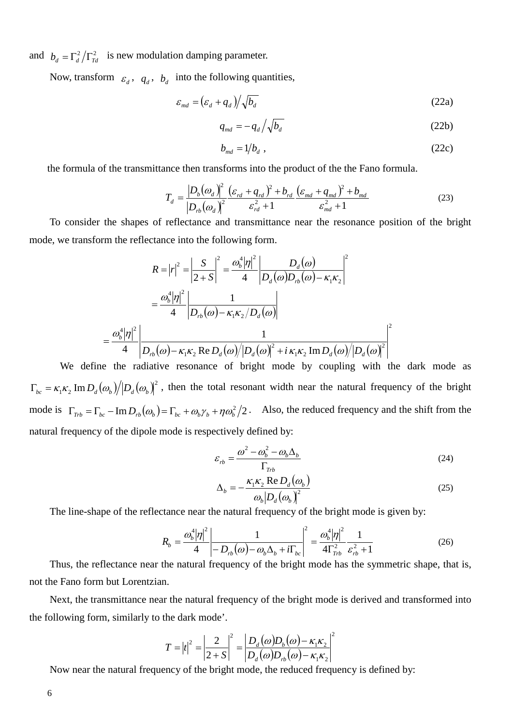and  $b_d = \Gamma_d^2 / \Gamma_{Td}^2$  is new modulation damping parameter.

Now, transform  $\varepsilon_d$ ,  $q_d$ ,  $b_d$  into the following quantities,

$$
\varepsilon_{md} = \left(\varepsilon_d + q_d\right) / \sqrt{b_d} \tag{22a}
$$

$$
q_{md} = -q_d / \sqrt{b_d} \tag{22b}
$$

$$
b_{md} = 1/b_d \tag{22c}
$$

the formula of the transmittance then transforms into the product of the the Fano formula.

$$
T_d = \frac{|D_b(\omega_d)|^2}{|D_{rb}(\omega_d)|^2} \frac{(\varepsilon_{rd} + q_{rd})^2 + b_{rd}}{\varepsilon_{rd}^2 + 1} \frac{(\varepsilon_{md} + q_{md})^2 + b_{md}}{\varepsilon_{md}^2 + 1}
$$
(23)

To consider the shapes of reflectance and transmittance near the resonance position of the bright mode, we transform the reflectance into the following form.

$$
R = |r|^2 = \left| \frac{S}{2+S} \right|^2 = \frac{\omega_b^4 |\eta|^2}{4} \left| \frac{D_d(\omega)}{D_d(\omega)D_{rb}(\omega) - \kappa_1 \kappa_2} \right|^2
$$

$$
= \frac{\omega_b^4 |\eta|^2}{4} \left| \frac{1}{D_{rb}(\omega) - \kappa_1 \kappa_2/D_d(\omega)} \right|
$$

$$
= \frac{\omega_b^4 |\eta|^2}{4} \left| \frac{1}{D_{rb}(\omega) - \kappa_1 \kappa_2 \operatorname{Re} D_d(\omega) / |D_d(\omega)|^2 + i \kappa_1 \kappa_2 \operatorname{Im} D_d(\omega) / |D_d(\omega)|^2} \right|^2
$$

 We define the radiative resonance of bright mode by coupling with the dark mode as  $\Gamma_{bc} = \kappa_1 \kappa_2 \text{Im } D_d(\omega_b) / |D_d(\omega_b)|^2$ , then the total resonant width near the natural frequency of the bright mode is  $\Gamma_{\tau_{rb}} = \Gamma_{bc} - \text{Im} D_{rb} (\omega_b) = \Gamma_{bc} + \omega_b \gamma_b + \eta \omega_b^2 / 2$ . Also, the reduced frequency and the shift from the natural frequency of the dipole mode is respectively defined by:

$$
\varepsilon_{rb} = \frac{\omega^2 - \omega_b^2 - \omega_b \Delta_b}{\Gamma_{rb}}
$$
\n(24)

$$
\Delta_b = -\frac{\kappa_1 \kappa_2 \operatorname{Re} D_d(\omega_b)}{\omega_b |D_d(\omega_b)|^2}
$$
(25)

The line-shape of the reflectance near the natural frequency of the bright mode is given by:

$$
R_b = \frac{\omega_b^4 |\eta|^2}{4} \left| \frac{1}{-D_{rb}(\omega) - \omega_b \Delta_b + i\Gamma_{bc}} \right|^2 = \frac{\omega_b^4 |\eta|^2}{4\Gamma_{\text{Trb}}^2} \frac{1}{\varepsilon_{rb}^2 + 1}
$$
(26)

Thus, the reflectance near the natural frequency of the bright mode has the symmetric shape, that is, not the Fano form but Lorentzian.

Next, the transmittance near the natural frequency of the bright mode is derived and transformed into the following form, similarly to the dark mode'.

$$
T = |t|^2 = \left| \frac{2}{2+S} \right|^2 = \left| \frac{D_d(\omega)D_b(\omega) - \kappa_1 \kappa_2}{D_d(\omega)D_{rb}(\omega) - \kappa_1 \kappa_2} \right|^2
$$

Now near the natural frequency of the bright mode, the reduced frequency is defined by: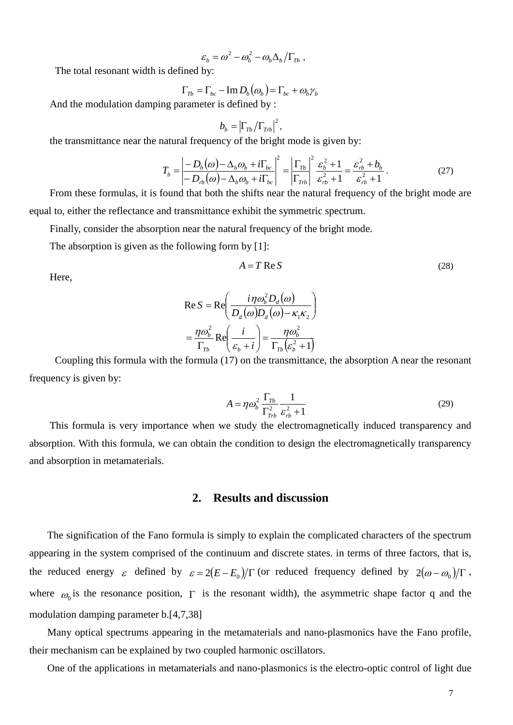$$
\varepsilon_b = \omega^2 - \omega_b^2 - \omega_b \Delta_b / \Gamma_{Tb} ,
$$

The total resonant width is defined by:

$$
\Gamma_{Tb} = \Gamma_{bc} - \text{Im} \, D_b(\omega_b) = \Gamma_{bc} + \omega_b \gamma_b
$$

And the modulation damping parameter is defined by :

$$
b_b = \left|\Gamma_{Tb}/\Gamma_{Trb}\right|^2,
$$

the transmittance near the natural frequency of the bright mode is given by:

$$
T_b = \left| \frac{-D_b(\omega) - \Delta_b \omega_b + i\Gamma_{bc}}{-D_{rb}(\omega) - \Delta_b \omega_b + i\Gamma_{bc}} \right|^2 = \left| \frac{\Gamma_{Tb}}{\Gamma_{Tb}} \right|^2 \frac{\varepsilon_b^2 + 1}{\varepsilon_{rb}^2 + 1} = \frac{\varepsilon_{rb}^2 + b_b}{\varepsilon_{rb}^2 + 1} \,. \tag{27}
$$

From these formulas, it is found that both the shifts near the natural frequency of the bright mode are equal to, either the reflectance and transmittance exhibit the symmetric spectrum.

Finally, consider the absorption near the natural frequency of the bright mode.

The absorption is given as the following form by [1]:

$$
A = T \operatorname{Re} S \tag{28}
$$

Here,

$$
\text{Re } S = \text{Re}\left(\frac{i\eta\omega_b^2 D_d(\omega)}{D_d(\omega)D_d(\omega) - \kappa_1\kappa_2}\right)
$$

$$
= \frac{\eta\omega_b^2}{\Gamma_{Tb}} \text{Re}\left(\frac{i}{\varepsilon_b + i}\right) = \frac{\eta\omega_b^2}{\Gamma_{Tb}(\varepsilon_b^2 + 1)}
$$

Coupling this formula with the formula (17) on the transmittance, the absorption A near the resonant frequency is given by:

$$
A = \eta \omega_b^2 \frac{\Gamma_{Tb}}{\Gamma_{Trb}^2} \frac{1}{\varepsilon_{rb}^2 + 1}
$$
 (29)

This formula is very importance when we study the electromagnetically induced transparency and absorption. With this formula, we can obtain the condition to design the electromagnetically transparency and absorption in metamaterials.

#### **2. Results and discussion**

The signification of the Fano formula is simply to explain the complicated characters of the spectrum appearing in the system comprised of the continuum and discrete states. in terms of three factors, that is, the reduced energy  $\varepsilon$  defined by  $\varepsilon = 2(E - E_0)/\Gamma$  (or reduced frequency defined by  $2(\omega - \omega_0)/\Gamma$ , where  $\omega_0$  is the resonance position,  $\Gamma$  is the resonant width), the asymmetric shape factor q and the modulation damping parameter b.[4,7,38]

Many optical spectrums appearing in the metamaterials and nano-plasmonics have the Fano profile, their mechanism can be explained by two coupled harmonic oscillators.

One of the applications in metamaterials and nano-plasmonics is the electro-optic control of light due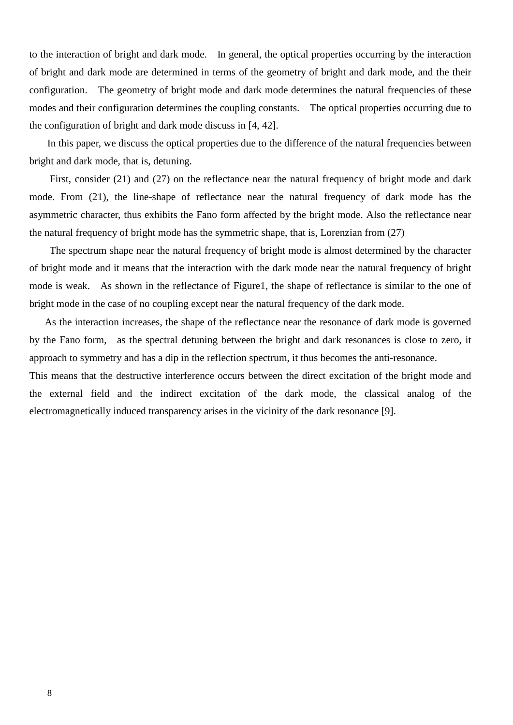to the interaction of bright and dark mode. In general, the optical properties occurring by the interaction of bright and dark mode are determined in terms of the geometry of bright and dark mode, and the their configuration. The geometry of bright mode and dark mode determines the natural frequencies of these modes and their configuration determines the coupling constants. The optical properties occurring due to the configuration of bright and dark mode discuss in [4, 42].

In this paper, we discuss the optical properties due to the difference of the natural frequencies between bright and dark mode, that is, detuning.

First, consider (21) and (27) on the reflectance near the natural frequency of bright mode and dark mode. From (21), the line-shape of reflectance near the natural frequency of dark mode has the asymmetric character, thus exhibits the Fano form affected by the bright mode. Also the reflectance near the natural frequency of bright mode has the symmetric shape, that is, Lorenzian from (27)

The spectrum shape near the natural frequency of bright mode is almost determined by the character of bright mode and it means that the interaction with the dark mode near the natural frequency of bright mode is weak. As shown in the reflectance of Figure1, the shape of reflectance is similar to the one of bright mode in the case of no coupling except near the natural frequency of the dark mode.

 As the interaction increases, the shape of the reflectance near the resonance of dark mode is governed by the Fano form, as the spectral detuning between the bright and dark resonances is close to zero, it approach to symmetry and has a dip in the reflection spectrum, it thus becomes the anti-resonance.

This means that the destructive interference occurs between the direct excitation of the bright mode and the external field and the indirect excitation of the dark mode, the classical analog of the electromagnetically induced transparency arises in the vicinity of the dark resonance [9].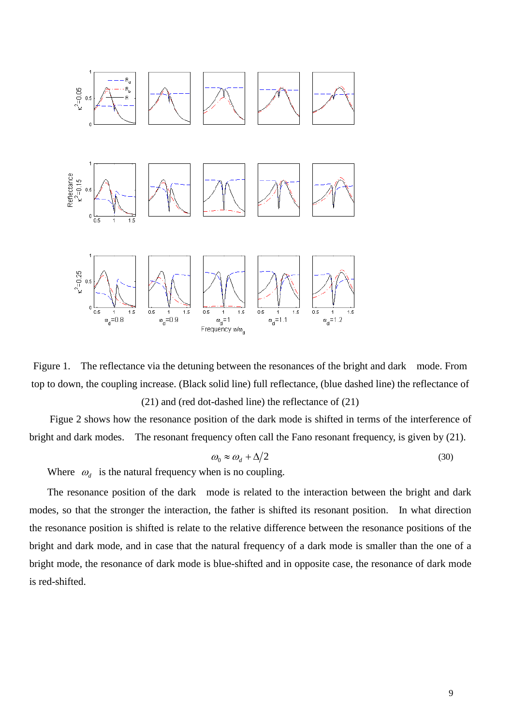

Figure 1. The reflectance via the detuning between the resonances of the bright and dark mode. From top to down, the coupling increase. (Black solid line) full reflectance, (blue dashed line) the reflectance of

(21) and (red dot-dashed line) the reflectance of (21)

Figue 2 shows how the resonance position of the dark mode is shifted in terms of the interference of bright and dark modes. The resonant frequency often call the Fano resonant frequency, is given by (21).

$$
\omega_0 \approx \omega_d + \Delta/2 \tag{30}
$$

Where  $\omega_d$  is the natural frequency when is no coupling.

The resonance position of the dark mode is related to the interaction between the bright and dark modes, so that the stronger the interaction, the father is shifted its resonant position. In what direction the resonance position is shifted is relate to the relative difference between the resonance positions of the bright and dark mode, and in case that the natural frequency of a dark mode is smaller than the one of a bright mode, the resonance of dark mode is blue-shifted and in opposite case, the resonance of dark mode is red-shifted.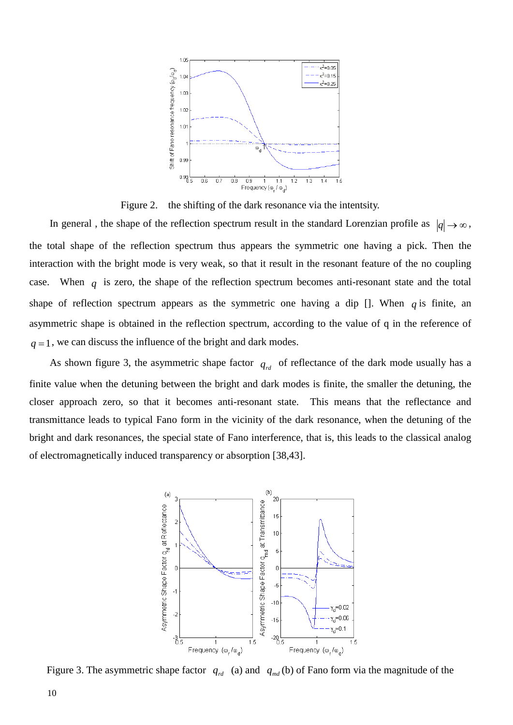

Figure 2. the shifting of the dark resonance via the intentsity.

In general, the shape of the reflection spectrum result in the standard Lorenzian profile as  $|q| \to \infty$ , the total shape of the reflection spectrum thus appears the symmetric one having a pick. Then the interaction with the bright mode is very weak, so that it result in the resonant feature of the no coupling case. When  $q$  is zero, the shape of the reflection spectrum becomes anti-resonant state and the total shape of reflection spectrum appears as the symmetric one having a dip  $\Box$ . When *q* is finite, an asymmetric shape is obtained in the reflection spectrum, according to the value of q in the reference of  $q = 1$ , we can discuss the influence of the bright and dark modes.

As shown figure 3, the asymmetric shape factor  $q_{rd}$  of reflectance of the dark mode usually has a finite value when the detuning between the bright and dark modes is finite, the smaller the detuning, the closer approach zero, so that it becomes anti-resonant state. This means that the reflectance and transmittance leads to typical Fano form in the vicinity of the dark resonance, when the detuning of the bright and dark resonances, the special state of Fano interference, that is, this leads to the classical analog of electromagnetically induced transparency or absorption [38,43].



Figure 3. The asymmetric shape factor  $q_{rd}$  (a) and  $q_{md}$  (b) of Fano form via the magnitude of the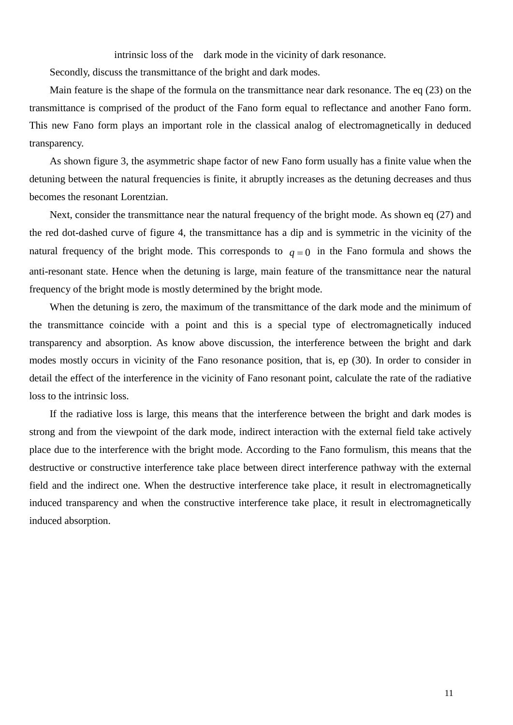intrinsic loss of the dark mode in the vicinity of dark resonance.

Secondly, discuss the transmittance of the bright and dark modes.

Main feature is the shape of the formula on the transmittance near dark resonance. The eq (23) on the transmittance is comprised of the product of the Fano form equal to reflectance and another Fano form. This new Fano form plays an important role in the classical analog of electromagnetically in deduced transparency.

As shown figure 3, the asymmetric shape factor of new Fano form usually has a finite value when the detuning between the natural frequencies is finite, it abruptly increases as the detuning decreases and thus becomes the resonant Lorentzian.

Next, consider the transmittance near the natural frequency of the bright mode. As shown eq (27) and the red dot-dashed curve of figure 4, the transmittance has a dip and is symmetric in the vicinity of the natural frequency of the bright mode. This corresponds to  $q = 0$  in the Fano formula and shows the anti-resonant state. Hence when the detuning is large, main feature of the transmittance near the natural frequency of the bright mode is mostly determined by the bright mode.

When the detuning is zero, the maximum of the transmittance of the dark mode and the minimum of the transmittance coincide with a point and this is a special type of electromagnetically induced transparency and absorption. As know above discussion, the interference between the bright and dark modes mostly occurs in vicinity of the Fano resonance position, that is, ep (30). In order to consider in detail the effect of the interference in the vicinity of Fano resonant point, calculate the rate of the radiative loss to the intrinsic loss.

If the radiative loss is large, this means that the interference between the bright and dark modes is strong and from the viewpoint of the dark mode, indirect interaction with the external field take actively place due to the interference with the bright mode. According to the Fano formulism, this means that the destructive or constructive interference take place between direct interference pathway with the external field and the indirect one. When the destructive interference take place, it result in electromagnetically induced transparency and when the constructive interference take place, it result in electromagnetically induced absorption.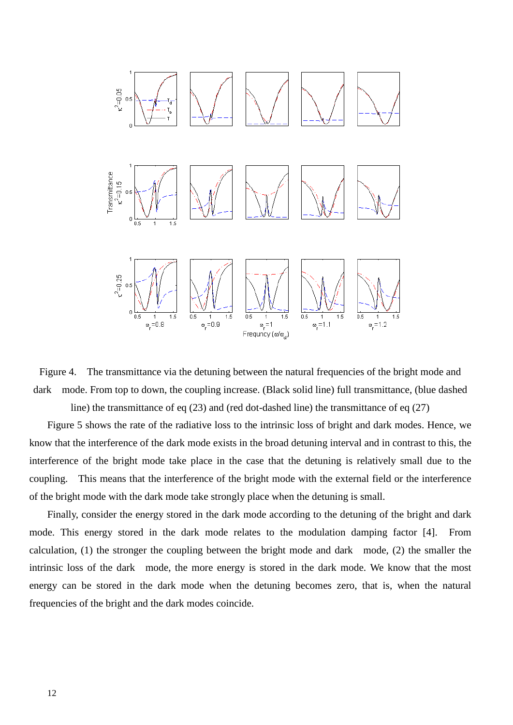



Figure 5 shows the rate of the radiative loss to the intrinsic loss of bright and dark modes. Hence, we know that the interference of the dark mode exists in the broad detuning interval and in contrast to this, the interference of the bright mode take place in the case that the detuning is relatively small due to the coupling. This means that the interference of the bright mode with the external field or the interference of the bright mode with the dark mode take strongly place when the detuning is small.

Finally, consider the energy stored in the dark mode according to the detuning of the bright and dark mode. This energy stored in the dark mode relates to the modulation damping factor [4]. From calculation, (1) the stronger the coupling between the bright mode and dark mode, (2) the smaller the intrinsic loss of the dark mode, the more energy is stored in the dark mode. We know that the most energy can be stored in the dark mode when the detuning becomes zero, that is, when the natural frequencies of the bright and the dark modes coincide.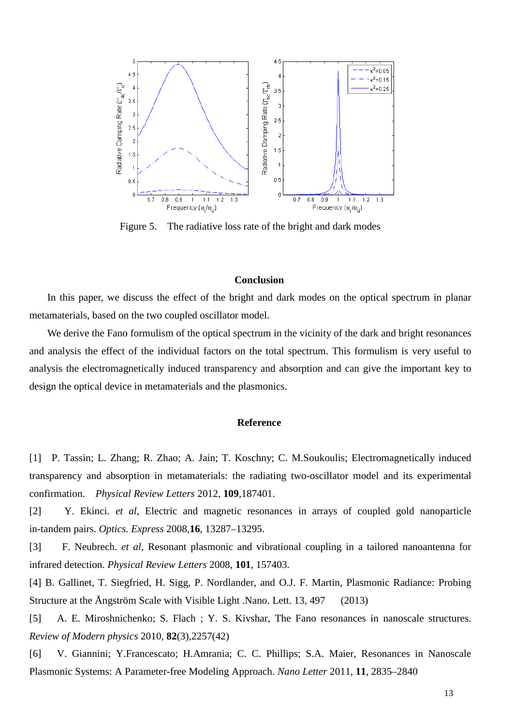

Figure 5. The radiative loss rate of the bright and dark modes

#### **Conclusion**

In this paper, we discuss the effect of the bright and dark modes on the optical spectrum in planar metamaterials, based on the two coupled oscillator model.

We derive the Fano formulism of the optical spectrum in the vicinity of the dark and bright resonances and analysis the effect of the individual factors on the total spectrum. This formulism is very useful to analysis the electromagnetically induced transparency and absorption and can give the important key to design the optical device in metamaterials and the plasmonics.

#### **Reference**

[1] P. Tassin; L. Zhang; R. Zhao; A. Jain; T. Koschny; C. M.Soukoulis; Electromagnetically induced transparency and absorption in metamaterials: the radiating two-oscillator model and its experimental confirmation. *Physical Review Letters* 2012, **109**,187401.

[2] Y. Ekinci. *et al*, Electric and magnetic resonances in arrays of coupled gold nanoparticle in-tandem pairs. *Optics. Express* 2008,**16**, 13287–13295.

[3] F. Neubrech. *et al*, Resonant plasmonic and vibrational coupling in a tailored nanoantenna for infrared detection. *Physical Review Letters* 2008, **101**, 157403.

[4] B. Gallinet, T. Siegfried, H. Sigg, P. Nordlander, and O.J. F. Martin, Plasmonic Radiance: Probing Structure at the Ångström Scale with Visible Light .Nano. Lett. 13, 497 (2013)

[5] A. E. Miroshnichenko; S. Flach ; Y. S. Kivshar, The Fano resonances in nanoscale structures. *Review of Modern physics* 2010, **82**(3),2257(42)

[6] V. Giannini; Y.Francescato; H.Amrania; C. C. Phillips; S.A. Maier, Resonances in Nanoscale Plasmonic Systems: A Parameter-free Modeling Approach. *Nano Letter* 2011, **11**, 2835–2840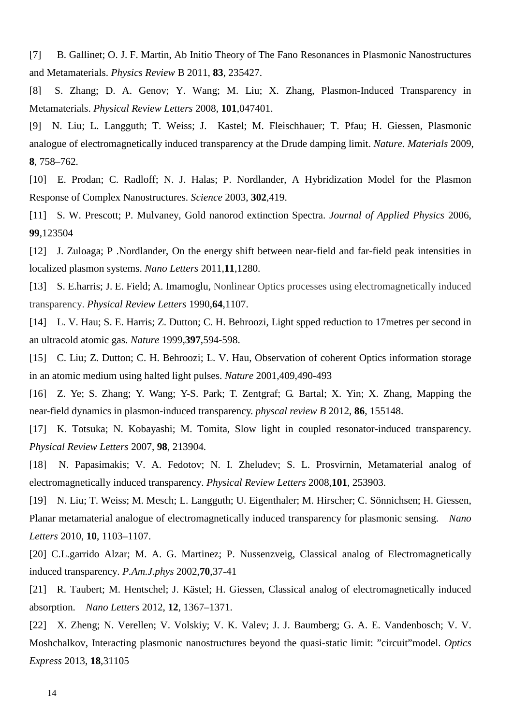[7] B. Gallinet; O. J. F. Martin, Ab Initio Theory of The Fano Resonances in Plasmonic Nanostructures and Metamaterials. *Physics Review* B 2011, **83**, 235427.

[8] S. Zhang; D. A. Genov; Y. Wang; M. Liu; X. Zhang, Plasmon-Induced Transparency in Metamaterials. *Physical Review Letters* 2008, **101**,047401.

[9] N. Liu; L. Langguth; T. Weiss; J. Kastel; M. Fleischhauer; T. Pfau; H. Giessen, Plasmonic analogue of electromagnetically induced transparency at the Drude damping limit. *Nature. Materials* 2009, **8**, 758–762.

[10] E. Prodan; C. Radloff; N. J. Halas; P. Nordlander, A Hybridization Model for the Plasmon Response of Complex Nanostructures. *Science* 2003, **302**,419.

[11] S. W. Prescott; P. Mulvaney, Gold nanorod extinction Spectra. *Journal of Applied Physics* 2006, **99**,123504

[12] J. Zuloaga; P .Nordlander, On the energy shift between near-field and far-field peak intensities in localized plasmon systems. *Nano Letters* 2011,**11**,1280.

[13] S. E.harris; J. E. Field; A. Imamoglu, Nonlinear Optics processes using electromagnetically induced transparency. *Physical Review Letters* 1990,**64**,1107.

[14] L. V. Hau; S. E. Harris; Z. Dutton; C. H. Behroozi, Light spped reduction to 17 metres per second in an ultracold atomic gas. *Nature* 1999,**397**,594-598.

[15] C. Liu; Z. Dutton; C. H. Behroozi; L. V. Hau, Observation of coherent Optics information storage in an atomic medium using halted light pulses. *Nature* 2001,409,490-493

[16] Z. Ye; S. Zhang; Y. Wang; Y-S. Park; T. Zentgraf; G. Bartal; X. Yin; X. Zhang, Mapping the near-field dynamics in plasmon-induced transparency. *physcal review B* 2012, **86**, 155148.

[17] K. Totsuka; N. Kobayashi; M. Tomita, Slow light in coupled resonator-induced transparency. *Physical Review Letters* 2007, **98**, 213904.

[18] N. Papasimakis; V. A. Fedotov; N. I. Zheludev; S. L. Prosvirnin, Metamaterial analog of electromagnetically induced transparency. *Physical Review Letters* 2008,**101**, 253903.

[19] N. Liu; T. Weiss; M. Mesch; L. Langguth; U. Eigenthaler; M. Hirscher; C. Sönnichsen; H. Giessen, Planar metamaterial analogue of electromagnetically induced transparency for plasmonic sensing. *Nano Letters* 2010, **10**, 1103–1107.

[20] C.L.garrido Alzar; M. A. G. Martinez; P. Nussenzveig, Classical analog of Electromagnetically induced transparency. *P.Am.J.phys* 2002,**70**,37-41

[21] R. Taubert: M. Hentschel; J. Kästel; H. Giessen, Classical analog of electromagnetically induced absorption. *Nano Letters* 2012, **12**, 1367–1371.

[22] X. Zheng; N. Verellen; V. Volskiy; V. K. Valev; J. J. Baumberg; G. A. E. Vandenbosch; V. V. Moshchalkov, Interacting plasmonic nanostructures beyond the quasi-static limit: "circuit"model. *Optics Express* 2013, **18**,31105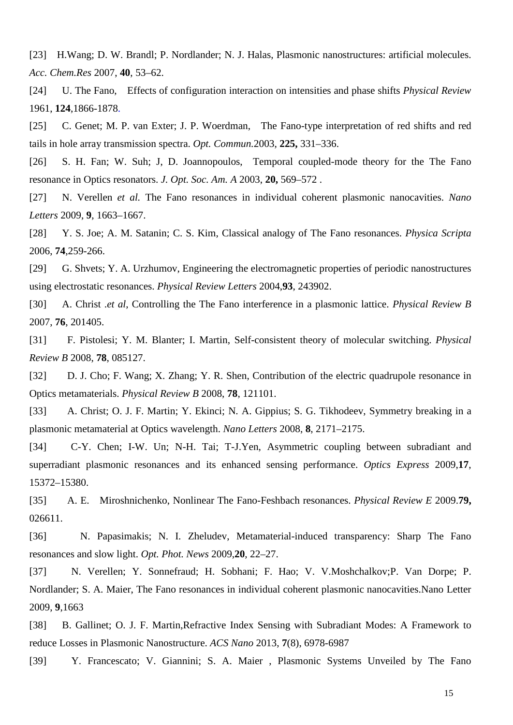[23] H.Wang; D. W. Brandl; P. Nordlander; N. J. Halas, Plasmonic nanostructures: artificial molecules. *Acc. Chem.Res* 2007, **40**, 53–62.

[24] U. The Fano, Effects of configuration interaction on intensities and phase shifts *Physical Review* 1961, **124**,1866-1878.

[25] C. Genet; M. P. van Exter; J. P. Woerdman, The Fano-type interpretation of red shifts and red tails in hole array transmission spectra. *Opt. Commun.*2003, **225,** 331–336.

[26] S. H. Fan; W. Suh; J, D. Joannopoulos, Temporal coupled-mode theory for the The Fano resonance in Optics resonators. *J. Opt. Soc. Am. A* 2003, **20,** 569–572 .

[27] N. Verellen *et al.* The Fano resonances in individual coherent plasmonic nanocavities. *Nano Letters* 2009, **9**, 1663–1667.

[28] Y. S. Joe; A. M. Satanin; C. S. Kim, Classical analogy of The Fano resonances. *Physica Scripta* 2006, **74**,259-266.

[29] G. Shvets; Y. A. Urzhumov, Engineering the electromagnetic properties of periodic nanostructures using electrostatic resonances. *Physical Review Letters* 2004,**93**, 243902.

[30] A. Christ .*et al*, Controlling the The Fano interference in a plasmonic lattice. *Physical Review B* 2007, **76**, 201405.

[31] F. Pistolesi; Y. M. Blanter; I. Martin, Self-consistent theory of molecular switching. *Physical Review B* 2008, **78**, 085127.

[32] D. J. Cho; F. Wang; X. Zhang; Y. R. Shen, Contribution of the electric quadrupole resonance in Optics metamaterials. *Physical Review B* 2008, **78**, 121101.

[33] A. Christ; O. J. F. Martin; Y. Ekinci; N. A. Gippius; S. G. Tikhodeev, Symmetry breaking in a plasmonic metamaterial at Optics wavelength. *Nano Letters* 2008, **8**, 2171–2175.

[34] C-Y. Chen; I-W. Un; N-H. Tai; T-J.Yen, Asymmetric coupling between subradiant and superradiant plasmonic resonances and its enhanced sensing performance. *Optics Express* 2009,**17**, 15372–15380.

[35] A. E. Miroshnichenko, Nonlinear The Fano-Feshbach resonances. *Physical Review E* 2009.**79,**  026611.

[36] N. Papasimakis; N. I. Zheludev, Metamaterial-induced transparency: Sharp The Fano resonances and slow light. *Opt. Phot. News* 2009,**20**, 22–27.

[37] N. Verellen; Y. Sonnefraud; H. Sobhani; F. Hao; V. V.Moshchalkov;P. Van Dorpe; P. Nordlander; S. A. Maier, The Fano resonances in individual coherent plasmonic nanocavities.Nano Letter 2009, **9**,1663

[38] B. Gallinet; O. J. F. Martin,Refractive Index Sensing with Subradiant Modes: A Framework to reduce Losses in Plasmonic Nanostructure. *ACS Nano* 2013, **7**(8), 6978-6987

[39] Y. Francescato; V. Giannini; S. A. Maier , Plasmonic Systems Unveiled by The Fano